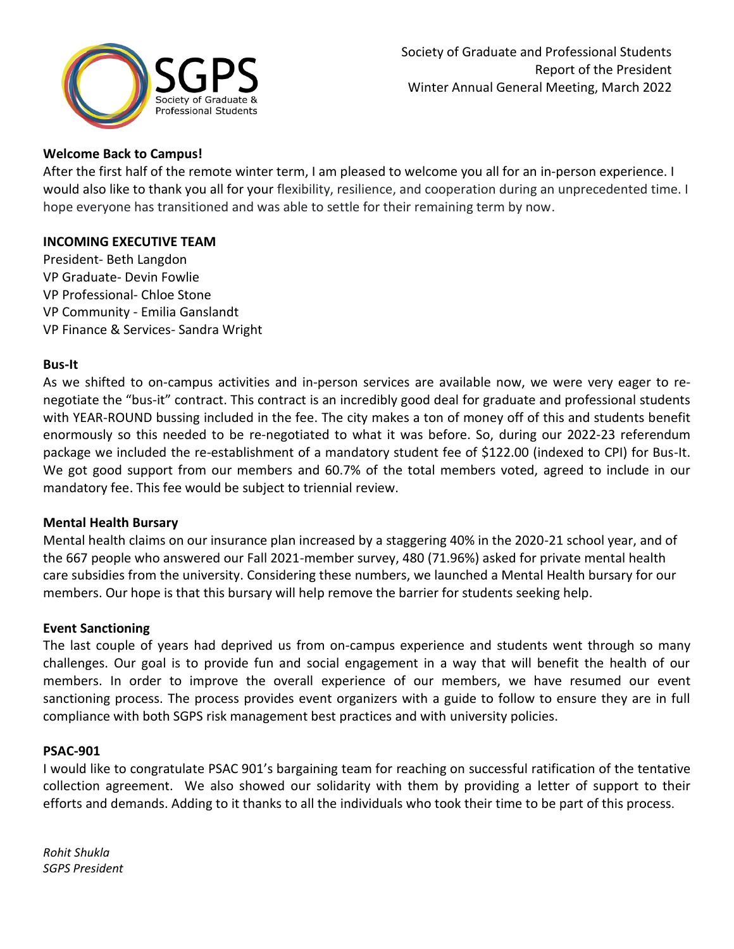

# **Welcome Back to Campus!**

After the first half of the remote winter term, I am pleased to welcome you all for an in-person experience. I would also like to thank you all for your flexibility, resilience, and cooperation during an unprecedented time. I hope everyone has transitioned and was able to settle for their remaining term by now.

### **INCOMING EXECUTIVE TEAM**

President- Beth Langdon VP Graduate- Devin Fowlie VP Professional- Chloe Stone VP Community - Emilia Ganslandt VP Finance & Services- Sandra Wright

### **Bus-It**

As we shifted to on-campus activities and in-person services are available now, we were very eager to renegotiate the "bus-it" contract. This contract is an incredibly good deal for graduate and professional students with YEAR-ROUND bussing included in the fee. The city makes a ton of money off of this and students benefit enormously so this needed to be re-negotiated to what it was before. So, during our 2022-23 referendum package we included the re-establishment of a mandatory student fee of \$122.00 (indexed to CPI) for Bus-It. We got good support from our members and 60.7% of the total members voted, agreed to include in our mandatory fee. This fee would be subject to triennial review.

## **Mental Health Bursary**

Mental health claims on our insurance plan increased by a staggering 40% in the 2020-21 school year, and of the 667 people who answered our Fall 2021-member survey, 480 (71.96%) asked for private mental health care subsidies from the university. Considering these numbers, we launched a Mental Health bursary for our members. Our hope is that this bursary will help remove the barrier for students seeking help.

## **Event Sanctioning**

The last couple of years had deprived us from on-campus experience and students went through so many challenges. Our goal is to provide fun and social engagement in a way that will benefit the health of our members. In order to improve the overall experience of our members, we have resumed our event sanctioning process. The process provides event organizers with a guide to follow to ensure they are in full compliance with both SGPS risk management best practices and with university policies.

## **PSAC-901**

I would like to congratulate PSAC 901's bargaining team for reaching on successful ratification of the tentative collection agreement. We also showed our solidarity with them by providing a letter of support to their efforts and demands. Adding to it thanks to all the individuals who took their time to be part of this process.

*Rohit Shukla SGPS President*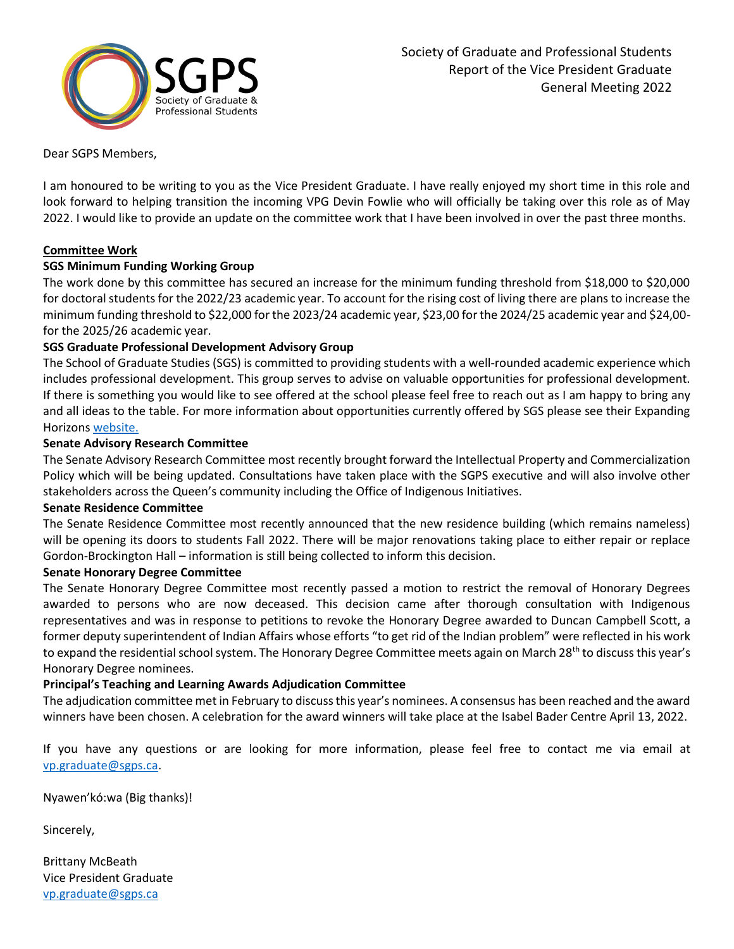

Dear SGPS Members,

I am honoured to be writing to you as the Vice President Graduate. I have really enjoyed my short time in this role and look forward to helping transition the incoming VPG Devin Fowlie who will officially be taking over this role as of May 2022. I would like to provide an update on the committee work that I have been involved in over the past three months.

#### **Committee Work**

#### **SGS Minimum Funding Working Group**

The work done by this committee has secured an increase for the minimum funding threshold from \$18,000 to \$20,000 for doctoral students for the 2022/23 academic year. To account for the rising cost of living there are plans to increase the minimum funding threshold to \$22,000 for the 2023/24 academic year, \$23,00 for the 2024/25 academic year and \$24,00 for the 2025/26 academic year.

#### **SGS Graduate Professional Development Advisory Group**

The School of Graduate Studies (SGS) is committed to providing students with a well-rounded academic experience which includes professional development. This group serves to advise on valuable opportunities for professional development. If there is something you would like to see offered at the school please feel free to reach out as I am happy to bring any and all ideas to the table. For more information about opportunities currently offered by SGS please see their Expanding Horizon[s website.](https://www.queensu.ca/exph/)

#### **Senate Advisory Research Committee**

The Senate Advisory Research Committee most recently brought forward the Intellectual Property and Commercialization Policy which will be being updated. Consultations have taken place with the SGPS executive and will also involve other stakeholders across the Queen's community including the Office of Indigenous Initiatives.

#### **Senate Residence Committee**

The Senate Residence Committee most recently announced that the new residence building (which remains nameless) will be opening its doors to students Fall 2022. There will be major renovations taking place to either repair or replace Gordon-Brockington Hall – information is still being collected to inform this decision.

#### **Senate Honorary Degree Committee**

The Senate Honorary Degree Committee most recently passed a motion to restrict the removal of Honorary Degrees awarded to persons who are now deceased. This decision came after thorough consultation with Indigenous representatives and was in response to petitions to revoke the Honorary Degree awarded to Duncan Campbell Scott, a former deputy superintendent of Indian Affairs whose efforts "to get rid of the Indian problem" were reflected in his work to expand the residential school system. The Honorary Degree Committee meets again on March 28<sup>th</sup> to discuss this year's Honorary Degree nominees.

#### **Principal's Teaching and Learning Awards Adjudication Committee**

The adjudication committee met in February to discuss this year's nominees. A consensus has been reached and the award winners have been chosen. A celebration for the award winners will take place at the Isabel Bader Centre April 13, 2022.

If you have any questions or are looking for more information, please feel free to contact me via email at [vp.graduate@sgps.ca.](mailto:vp.graduate@sgps.ca)

Nyawen'kó:wa (Big thanks)!

Sincerely,

Brittany McBeath Vice President Graduate [vp.graduate@sgps.ca](mailto:vp.graduate@sgps.ca)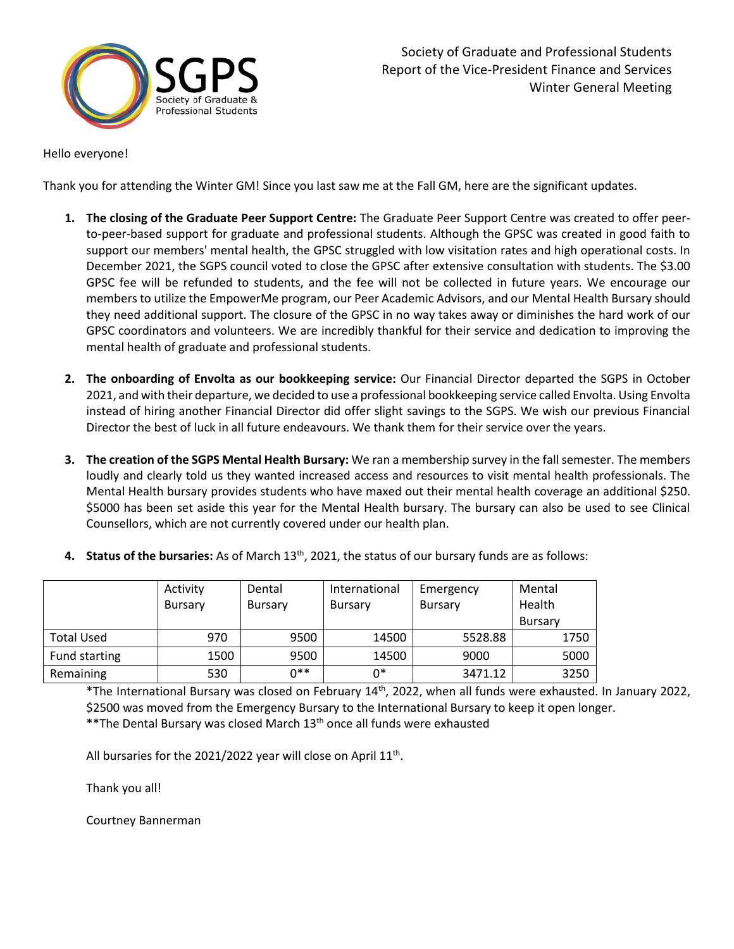

Hello everyone!

Thank you for attending the Winter GM! Since you last saw me at the Fall GM, here are the significant updates.

- **1. The closing of the Graduate Peer Support Centre:** The Graduate Peer Support Centre was created to offer peerto-peer-based support for graduate and professional students. Although the GPSC was created in good faith to support our members' mental health, the GPSC struggled with low visitation rates and high operational costs. In December 2021, the SGPS council voted to close the GPSC after extensive consultation with students. The \$3.00 GPSC fee will be refunded to students, and the fee will not be collected in future years. We encourage our members to utilize the EmpowerMe program, our Peer Academic Advisors, and our Mental Health Bursary should they need additional support. The closure of the GPSC in no way takes away or diminishes the hard work of our GPSC coordinators and volunteers. We are incredibly thankful for their service and dedication to improving the mental health of graduate and professional students.
- **2. The onboarding of Envolta as our bookkeeping service:** Our Financial Director departed the SGPS in October 2021, and with their departure, we decided to use a professional bookkeeping service called Envolta. Using Envolta instead of hiring another Financial Director did offer slight savings to the SGPS. We wish our previous Financial Director the best of luck in all future endeavours. We thank them for their service over the years.
- **3. The creation of the SGPS Mental Health Bursary:** We ran a membership survey in the fall semester. The members loudly and clearly told us they wanted increased access and resources to visit mental health professionals. The Mental Health bursary provides students who have maxed out their mental health coverage an additional \$250. \$5000 has been set aside this year for the Mental Health bursary. The bursary can also be used to see Clinical Counsellors, which are not currently covered under our health plan.
- **4. Status of the bursaries:** As of March 13th, 2021, the status of our bursary funds are as follows:

|                   | Activity<br><b>Bursary</b> | Dental<br>Bursary | International<br><b>Bursary</b> | Emergency<br>Bursary | Mental<br>Health |
|-------------------|----------------------------|-------------------|---------------------------------|----------------------|------------------|
|                   |                            |                   |                                 |                      | <b>Bursary</b>   |
| <b>Total Used</b> | 970                        | 9500              | 14500                           | 5528.88              | 1750             |
| Fund starting     | 1500                       | 9500              | 14500                           | 9000                 | 5000             |
| Remaining         | 530                        | ∩**               | 0*                              | 3471.12              | 3250             |

\*The International Bursary was closed on February 14th, 2022, when all funds were exhausted. In January 2022, \$2500 was moved from the Emergency Bursary to the International Bursary to keep it open longer. \*\*The Dental Bursary was closed March 13<sup>th</sup> once all funds were exhausted

All bursaries for the 2021/2022 year will close on April  $11<sup>th</sup>$ .

Thank you all!

Courtney Bannerman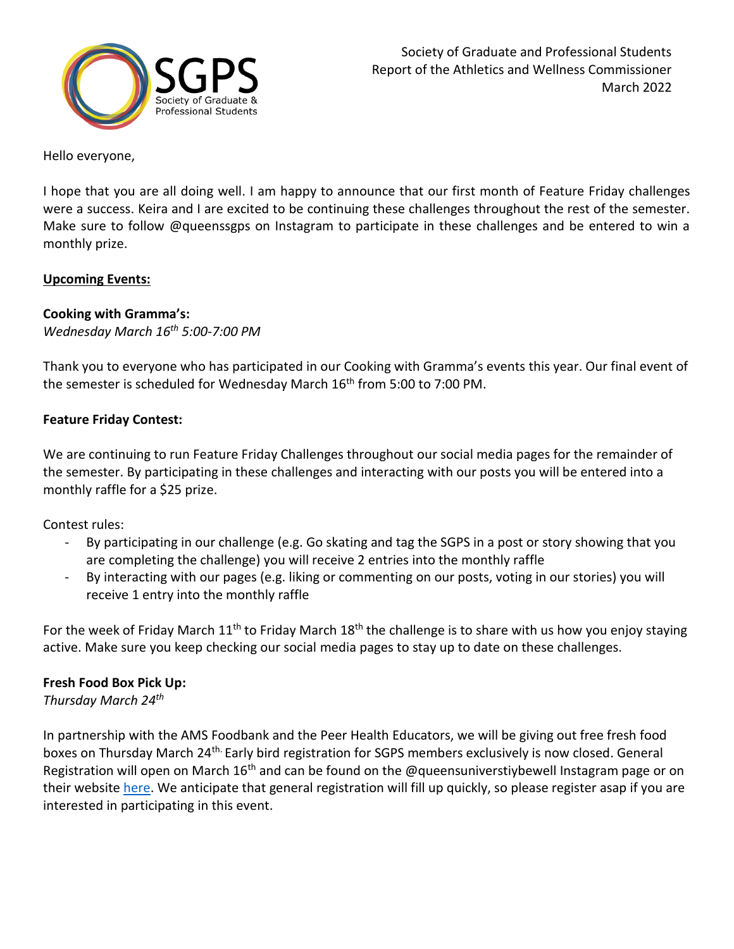

Hello everyone,

I hope that you are all doing well. I am happy to announce that our first month of Feature Friday challenges were a success. Keira and I are excited to be continuing these challenges throughout the rest of the semester. Make sure to follow @queenssgps on Instagram to participate in these challenges and be entered to win a monthly prize.

## **Upcoming Events:**

## **Cooking with Gramma's:**

*Wednesday March 16th 5:00-7:00 PM*

Thank you to everyone who has participated in our Cooking with Gramma's events this year. Our final event of the semester is scheduled for Wednesday March 16<sup>th</sup> from 5:00 to 7:00 PM.

## **Feature Friday Contest:**

We are continuing to run Feature Friday Challenges throughout our social media pages for the remainder of the semester. By participating in these challenges and interacting with our posts you will be entered into a monthly raffle for a \$25 prize.

Contest rules:

- By participating in our challenge (e.g. Go skating and tag the SGPS in a post or story showing that you are completing the challenge) you will receive 2 entries into the monthly raffle
- By interacting with our pages (e.g. liking or commenting on our posts, voting in our stories) you will receive 1 entry into the monthly raffle

For the week of Friday March  $11<sup>th</sup>$  to Friday March  $18<sup>th</sup>$  the challenge is to share with us how you enjoy staying active. Make sure you keep checking our social media pages to stay up to date on these challenges.

## **Fresh Food Box Pick Up:**

*Thursday March 24 th*

In partnership with the AMS Foodbank and the Peer Health Educators, we will be giving out free fresh food boxes on Thursday March 24<sup>th.</sup> Early bird registration for SGPS members exclusively is now closed. General Registration will open on March  $16<sup>th</sup>$  and can be found on the @queensuniverstiybewell Instagram page or on their website [here.](https://queensuniversitybewell.wordpress.com/2022/02/24/copy-pangoa-bowls/) We anticipate that general registration will fill up quickly, so please register asap if you are interested in participating in this event.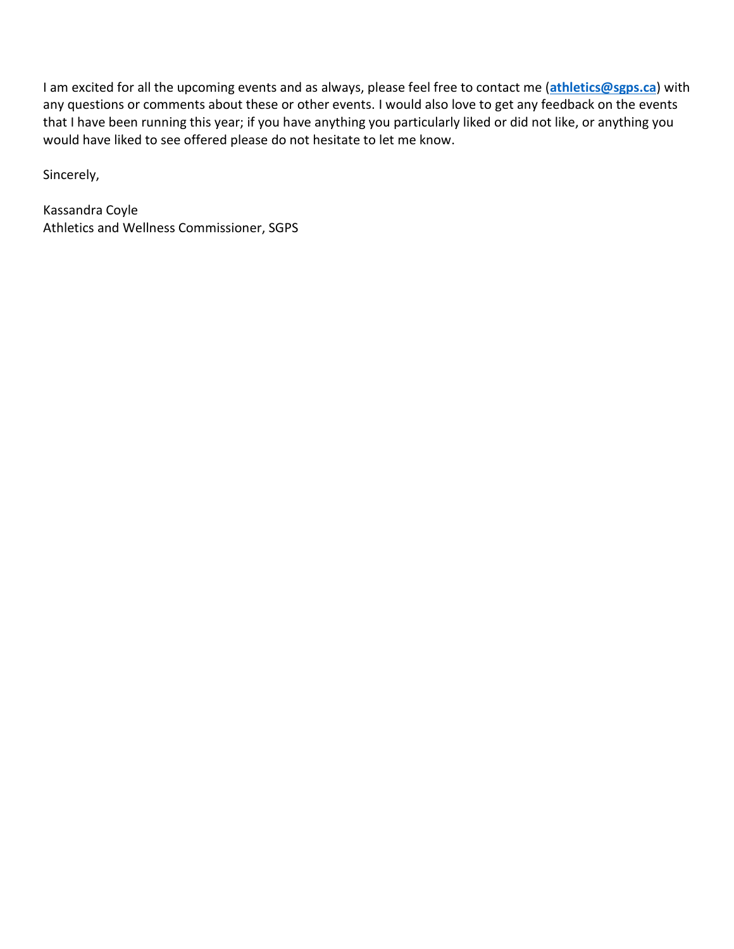I am excited for all the upcoming events and as always, please feel free to contact me (**[athletics@sgps.ca](mailto:athletics@sgps.ca)**) with any questions or comments about these or other events. I would also love to get any feedback on the events that I have been running this year; if you have anything you particularly liked or did not like, or anything you would have liked to see offered please do not hesitate to let me know.

Sincerely,

Kassandra Coyle Athletics and Wellness Commissioner, SGPS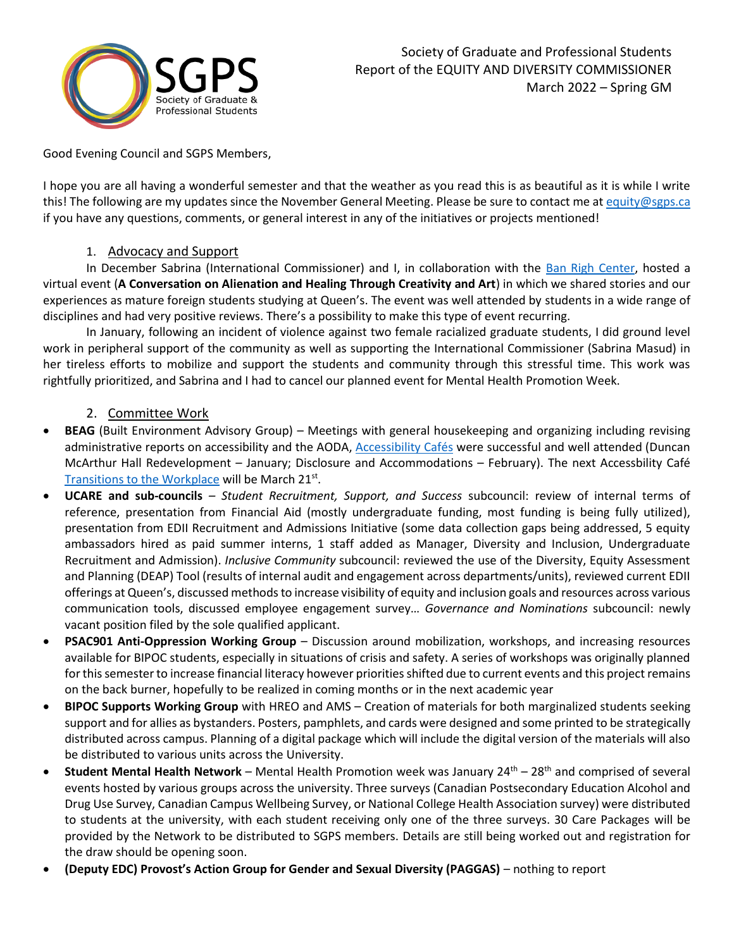

Good Evening Council and SGPS Members,

I hope you are all having a wonderful semester and that the weather as you read this is as beautiful as it is while I write this! The following are my updates since the November General Meeting. Please be sure to contact me a[t equity@sgps.ca](mailto:equity@sgps.ca) if you have any questions, comments, or general interest in any of the initiatives or projects mentioned!

### 1. Advocacy and Support

In December Sabrina (International Commissioner) and I, in collaboration with the [Ban Righ Center,](https://www.facebook.com/TheBanRighCentre) hosted a virtual event (**A Conversation on Alienation and Healing Through Creativity and Art**) in which we shared stories and our experiences as mature foreign students studying at Queen's. The event was well attended by students in a wide range of disciplines and had very positive reviews. There's a possibility to make this type of event recurring.

In January, following an incident of violence against two female racialized graduate students, I did ground level work in peripheral support of the community as well as supporting the International Commissioner (Sabrina Masud) in her tireless efforts to mobilize and support the students and community through this stressful time. This work was rightfully prioritized, and Sabrina and I had to cancel our planned event for Mental Health Promotion Week.

## 2. Committee Work

- **BEAG** (Built Environment Advisory Group) Meetings with general housekeeping and organizing including revising administrative reports on accessibility and the AODA[, Accessibility Cafés](https://www.queensu.ca/accessibility/taxonomy/term/2) were successful and well attended (Duncan McArthur Hall Redevelopment – January; Disclosure and Accommodations – February). The next Accessbility Café [Transitions to the Workplace](https://www.queensu.ca/accessibility/accessibility-cafe-transitions-workplace) will be March 21<sup>st</sup>.
- **UCARE and sub-councils** *– Student Recruitment, Support, and Success* subcouncil: review of internal terms of reference, presentation from Financial Aid (mostly undergraduate funding, most funding is being fully utilized), presentation from EDII Recruitment and Admissions Initiative (some data collection gaps being addressed, 5 equity ambassadors hired as paid summer interns, 1 staff added as Manager, Diversity and Inclusion, Undergraduate Recruitment and Admission). *Inclusive Community* subcouncil: reviewed the use of the Diversity, Equity Assessment and Planning (DEAP) Tool (results of internal audit and engagement across departments/units), reviewed current EDII offerings at Queen's, discussed methods to increase visibility of equity and inclusion goals and resources across various communication tools, discussed employee engagement survey… *Governance and Nominations* subcouncil: newly vacant position filed by the sole qualified applicant.
- **PSAC901 Anti-Oppression Working Group** Discussion around mobilization, workshops, and increasing resources available for BIPOC students, especially in situations of crisis and safety. A series of workshops was originally planned for this semester to increase financial literacy however priorities shifted due to current events and this project remains on the back burner, hopefully to be realized in coming months or in the next academic year
- **BIPOC Supports Working Group** with HREO and AMS Creation of materials for both marginalized students seeking support and for allies as bystanders. Posters, pamphlets, and cards were designed and some printed to be strategically distributed across campus. Planning of a digital package which will include the digital version of the materials will also be distributed to various units across the University.
- **Student Mental Health Network** Mental Health Promotion week was January 24<sup>th</sup> 28<sup>th</sup> and comprised of several events hosted by various groups across the university. Three surveys (Canadian Postsecondary Education Alcohol and Drug Use Survey, Canadian Campus Wellbeing Survey, or National College Health Association survey) were distributed to students at the university, with each student receiving only one of the three surveys. 30 Care Packages will be provided by the Network to be distributed to SGPS members. Details are still being worked out and registration for the draw should be opening soon.
- **(Deputy EDC) Provost's Action Group for Gender and Sexual Diversity (PAGGAS)** nothing to report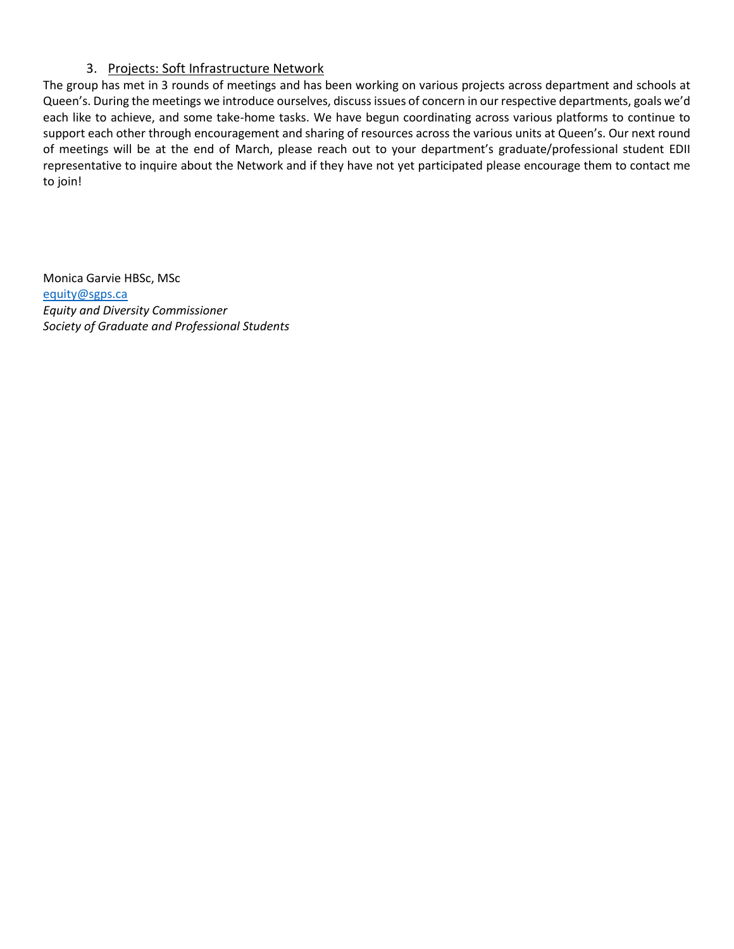## 3. Projects: Soft Infrastructure Network

The group has met in 3 rounds of meetings and has been working on various projects across department and schools at Queen's. During the meetings we introduce ourselves, discuss issues of concern in our respective departments, goals we'd each like to achieve, and some take-home tasks. We have begun coordinating across various platforms to continue to support each other through encouragement and sharing of resources across the various units at Queen's. Our next round of meetings will be at the end of March, please reach out to your department's graduate/professional student EDII representative to inquire about the Network and if they have not yet participated please encourage them to contact me to join!

Monica Garvie HBSc, MSc [equity@sgps.ca](mailto:equity@sgps.ca) *Equity and Diversity Commissioner Society of Graduate and Professional Students*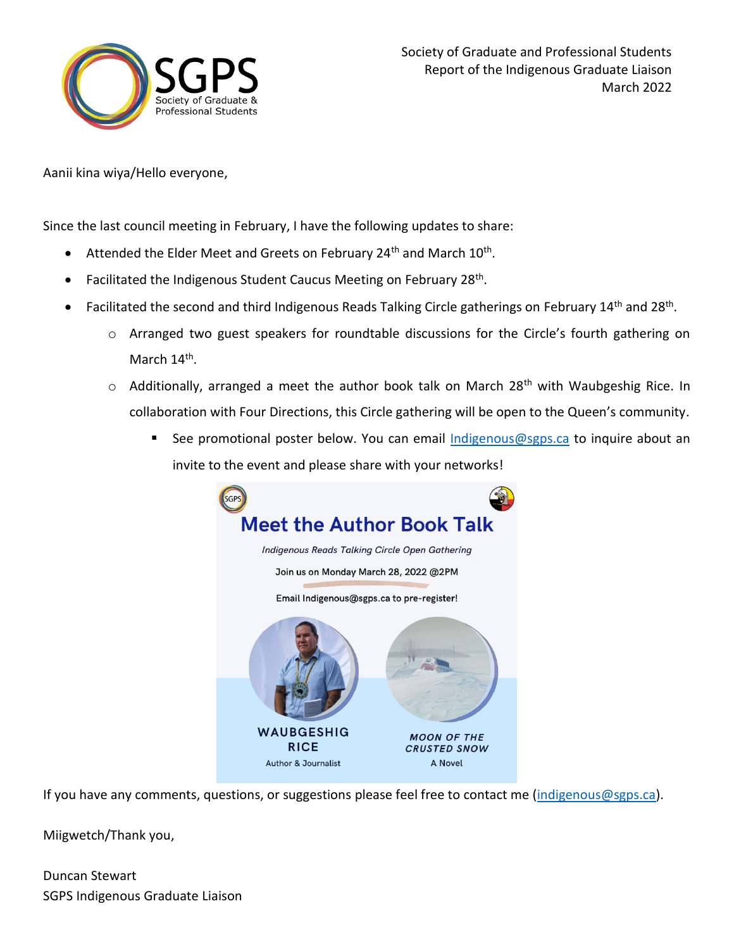

Aanii kina wiya/Hello everyone,

Since the last council meeting in February, I have the following updates to share:

- $\bullet$  Attended the Elder Meet and Greets on February 24<sup>th</sup> and March 10<sup>th</sup>.
- Facilitated the Indigenous Student Caucus Meeting on February 28<sup>th</sup>.
- Facilitated the second and third Indigenous Reads Talking Circle gatherings on February 14<sup>th</sup> and 28<sup>th</sup>.
	- o Arranged two guest speakers for roundtable discussions for the Circle's fourth gathering on March 14<sup>th</sup>.
	- $\circ$  Additionally, arranged a meet the author book talk on March 28<sup>th</sup> with Waubgeshig Rice. In collaboration with Four Directions, this Circle gathering will be open to the Queen's community.
		- See promotional poster below. You can email [Indigenous@sgps.ca](mailto:Indigenous@sgps.ca) to inquire about an invite to the event and please share with your networks!



If you have any comments, questions, or suggestions please feel free to contact me [\(indigenous@sgps.ca\)](mailto:indigenous@sgps.ca).

Miigwetch/Thank you,

Duncan Stewart SGPS Indigenous Graduate Liaison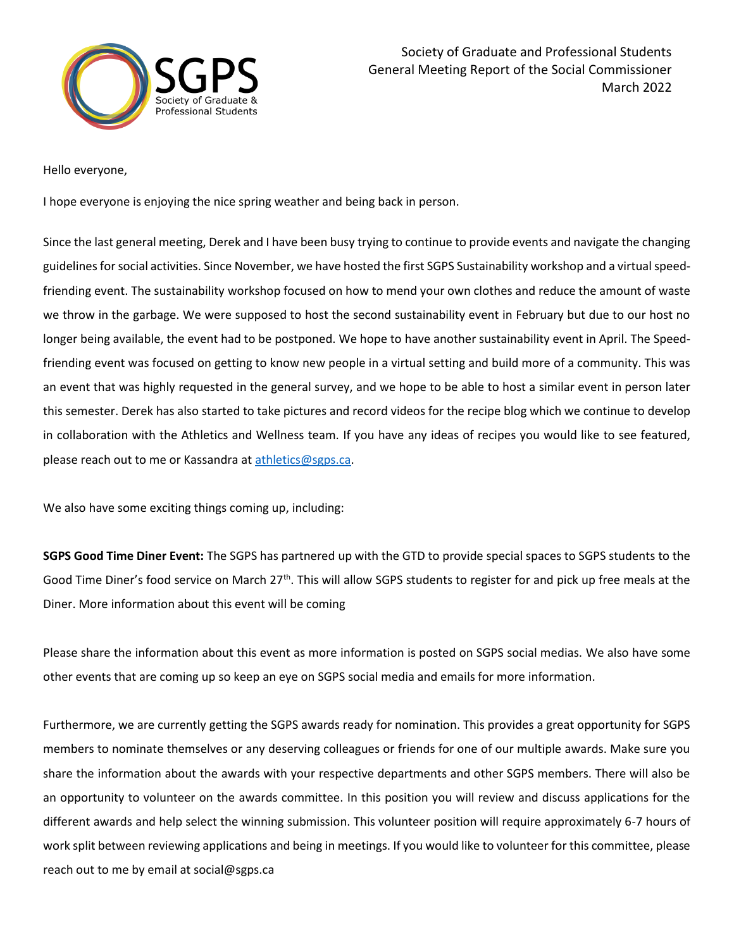

Hello everyone,

I hope everyone is enjoying the nice spring weather and being back in person.

Since the last general meeting, Derek and I have been busy trying to continue to provide events and navigate the changing guidelines for social activities. Since November, we have hosted the first SGPS Sustainability workshop and a virtual speedfriending event. The sustainability workshop focused on how to mend your own clothes and reduce the amount of waste we throw in the garbage. We were supposed to host the second sustainability event in February but due to our host no longer being available, the event had to be postponed. We hope to have another sustainability event in April. The Speedfriending event was focused on getting to know new people in a virtual setting and build more of a community. This was an event that was highly requested in the general survey, and we hope to be able to host a similar event in person later this semester. Derek has also started to take pictures and record videos for the recipe blog which we continue to develop in collaboration with the Athletics and Wellness team. If you have any ideas of recipes you would like to see featured, please reach out to me or Kassandra at [athletics@sgps.ca.](mailto:athletics@sgps.ca)

We also have some exciting things coming up, including:

**SGPS Good Time Diner Event:** The SGPS has partnered up with the GTD to provide special spaces to SGPS students to the Good Time Diner's food service on March 27<sup>th</sup>. This will allow SGPS students to register for and pick up free meals at the Diner. More information about this event will be coming

Please share the information about this event as more information is posted on SGPS social medias. We also have some other events that are coming up so keep an eye on SGPS social media and emails for more information.

Furthermore, we are currently getting the SGPS awards ready for nomination. This provides a great opportunity for SGPS members to nominate themselves or any deserving colleagues or friends for one of our multiple awards. Make sure you share the information about the awards with your respective departments and other SGPS members. There will also be an opportunity to volunteer on the awards committee. In this position you will review and discuss applications for the different awards and help select the winning submission. This volunteer position will require approximately 6-7 hours of work split between reviewing applications and being in meetings. If you would like to volunteer for this committee, please reach out to me by email at social@sgps.ca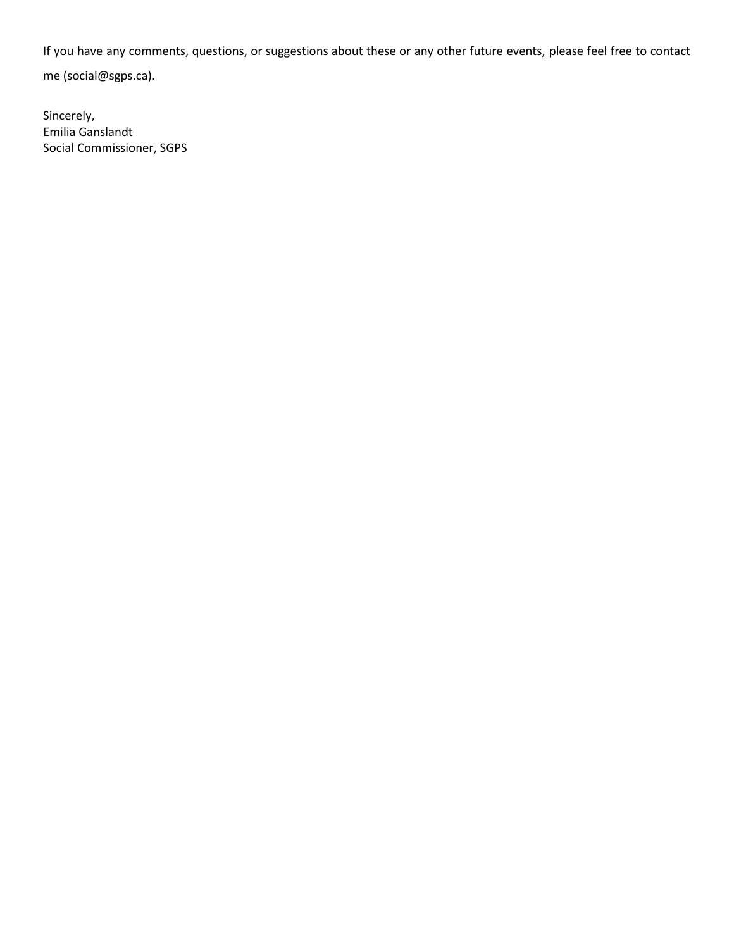If you have any comments, questions, or suggestions about these or any other future events, please feel free to contact me (social@sgps.ca).

Sincerely, Emilia Ganslandt Social Commissioner, SGPS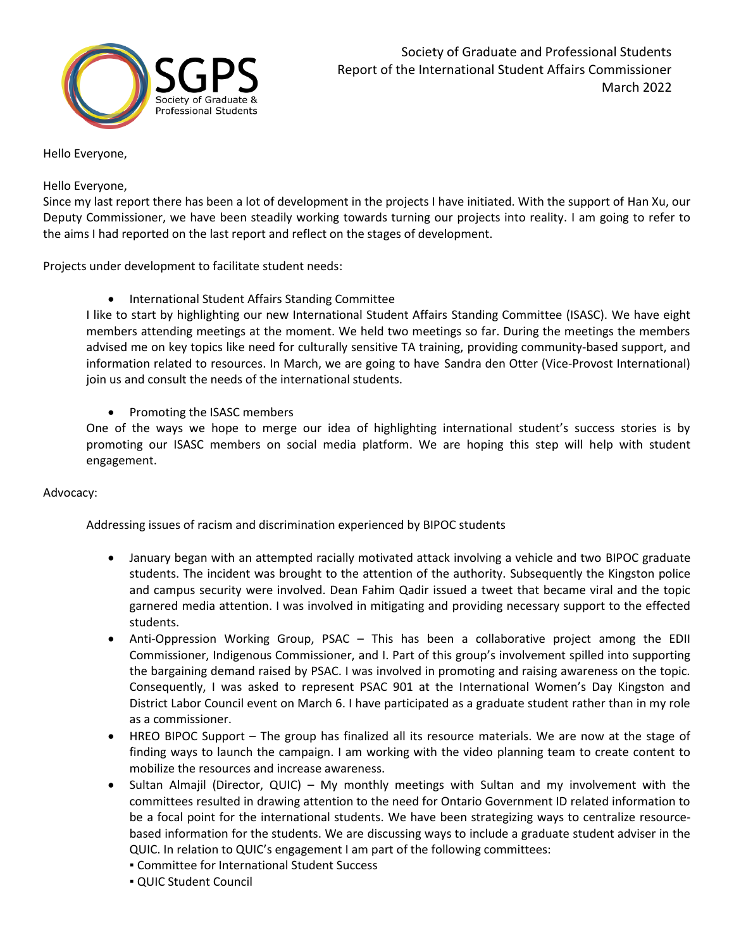

#### Hello Everyone,

#### Hello Everyone,

Since my last report there has been a lot of development in the projects I have initiated. With the support of Han Xu, our Deputy Commissioner, we have been steadily working towards turning our projects into reality. I am going to refer to the aims I had reported on the last report and reflect on the stages of development.

Projects under development to facilitate student needs:

• International Student Affairs Standing Committee

I like to start by highlighting our new International Student Affairs Standing Committee (ISASC). We have eight members attending meetings at the moment. We held two meetings so far. During the meetings the members advised me on key topics like need for culturally sensitive TA training, providing community-based support, and information related to resources. In March, we are going to have Sandra den Otter (Vice-Provost International) join us and consult the needs of the international students.

• Promoting the ISASC members

One of the ways we hope to merge our idea of highlighting international student's success stories is by promoting our ISASC members on social media platform. We are hoping this step will help with student engagement.

#### Advocacy:

Addressing issues of racism and discrimination experienced by BIPOC students

- January began with an attempted racially motivated attack involving a vehicle and two BIPOC graduate students. The incident was brought to the attention of the authority. Subsequently the Kingston police and campus security were involved. Dean Fahim Qadir issued a tweet that became viral and the topic garnered media attention. I was involved in mitigating and providing necessary support to the effected students.
- Anti-Oppression Working Group, PSAC This has been a collaborative project among the EDII Commissioner, Indigenous Commissioner, and I. Part of this group's involvement spilled into supporting the bargaining demand raised by PSAC. I was involved in promoting and raising awareness on the topic. Consequently, I was asked to represent PSAC 901 at the International Women's Day Kingston and District Labor Council event on March 6. I have participated as a graduate student rather than in my role as a commissioner.
- HREO BIPOC Support The group has finalized all its resource materials. We are now at the stage of finding ways to launch the campaign. I am working with the video planning team to create content to mobilize the resources and increase awareness.
- Sultan Almajil (Director, QUIC) My monthly meetings with Sultan and my involvement with the committees resulted in drawing attention to the need for Ontario Government ID related information to be a focal point for the international students. We have been strategizing ways to centralize resourcebased information for the students. We are discussing ways to include a graduate student adviser in the QUIC. In relation to QUIC's engagement I am part of the following committees:
	- **EXECOMMENT COMMUTTED FOR INTERETATION** Success
	- QUIC Student Council